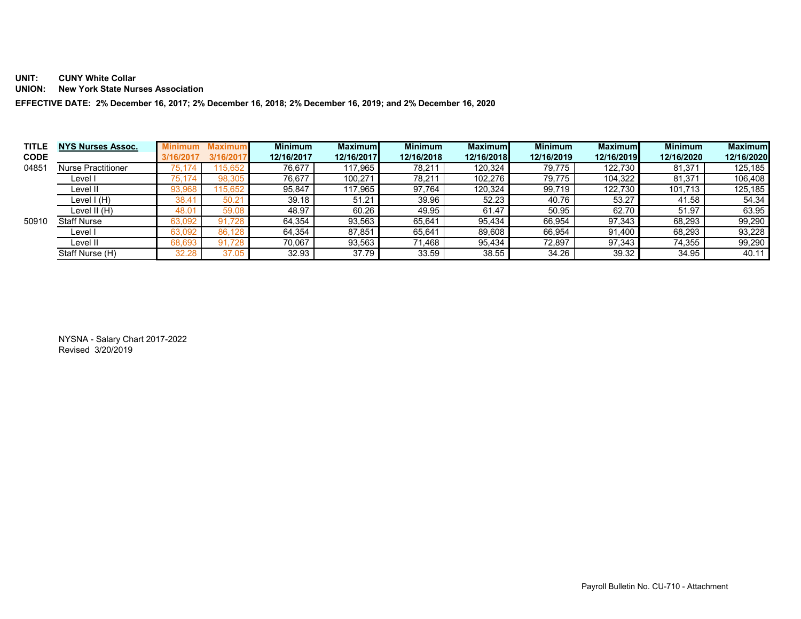## **UNIT: CUNY White Collar**

**UNION: New York State Nurses Association** 

**EFFECTIVE DATE: 2% December 16, 2017; 2% December 16, 2018; 2% December 16, 2019; and 2% December 16, 2020** 

| <b>TITLE</b> | <b>NYS Nurses Assoc.</b>  |              | Maximur | <b>Minimum</b> | <b>Maximuml</b> | <b>Minimum</b> | <b>Maximuml</b> | <b>Minimum</b> | <b>Maximum</b> | <b>Minimum</b> | <b>Maximum</b> |
|--------------|---------------------------|--------------|---------|----------------|-----------------|----------------|-----------------|----------------|----------------|----------------|----------------|
| <b>CODE</b>  |                           | /16/2017     |         | 12/16/2017     | 12/16/2017      | 12/16/2018     | 12/16/2018      | 12/16/2019     | 12/16/2019     | 12/16/2020     | 12/16/2020     |
| 04851        | <b>Nurse Practitioner</b> | '5.          |         | 76.677         | 117.965         | 78,211         | 120,324         | 79.775         | 122.730        | 81,371         | 125,185        |
|              | Level I                   | ΊЬ.          | 98.30   | 76.677         | 100.271         | 78,211         | 102,276         | 79.775         | 104.322        | 81,371         | 106,408        |
|              | Level II                  | 93,96        | 15.65   | 95.847         | 117,965         | 97.764         | 120,324         | 99.719         | 122.730        | 101,713        | 125,185        |
|              | Level I (H)               |              | 50.2    | 39.18          | 51.21           | 39.96          | 52.23           | 40.76          | 53.27          | 41.58          | 54.34          |
|              | Level II (H)              | $48.0^\circ$ | 59.01   | 48.97          | 60.26           | 49.95          | 61.47           | 50.95          | 62.70          | 51.97          | 63.95          |
| 50910        | <b>Staff Nurse</b>        | 63,092       | 91      | 64.354         | 93.563          | 65,641         | 95.434          | 66.954         | 97,343         | 68,293         | 99,290         |
|              | Level I                   | 63,092       | 86.12   | 64.354         | 87.851          | 65.641         | 89,608          | 66,954         | 91.400         | 68,293         | 93,228         |
|              | Level II                  | 68.69:       | 91      | 70.067         | 93,563          | 71,468         | 95,434          | 72,897         | 97,343         | 74,355         | 99,290         |
|              | Staff Nurse (H)           | 32.28        |         | 32.93          | 37.79           | 33.59          | 38.55           | 34.26          | 39.32          | 34.95          | 40.11          |

NYSNA - Salary Chart 2017-2022 Revised 3/20/2019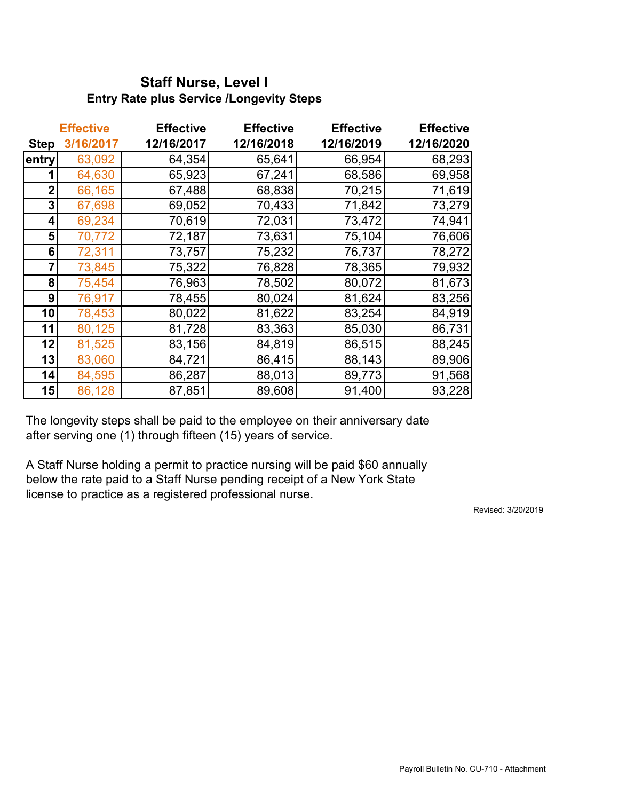## **Staff Nurse, Level I Entry Rate plus Service /Longevity Steps**

|             | <b>Effective</b> | <b>Effective</b> | <b>Effective</b> | <b>Effective</b> | <b>Effective</b> |  |
|-------------|------------------|------------------|------------------|------------------|------------------|--|
| <b>Step</b> | 3/16/2017        | 12/16/2017       | 12/16/2018       | 12/16/2019       | 12/16/2020       |  |
| entry       | 63,092           | 64,354           | 65,641           | 66,954           | 68,293           |  |
|             | 64,630           | 65,923           | 67,241           | 68,586           | 69,958           |  |
| $\mathbf 2$ | 66,165           | 67,488           | 68,838           | 70,215           | 71,619           |  |
| 3           | 67,698           | 69,052           | 70,433           | 71,842           | 73,279           |  |
| 4           | 69,234           | 70,619           | 72,031           | 73,472           | 74,941           |  |
| 5           | 70,772           | 72,187           | 73,631           | 75,104           | 76,606           |  |
| 6           | 72,311           | 73,757           | 75,232           | 76,737           | 78,272           |  |
|             | 73,845           | 75,322           | 76,828           | 78,365           | 79,932           |  |
| 8           | 75,454           | 76,963           | 78,502           | 80,072           | 81,673           |  |
| 9           | 76,917           | 78,455           | 80,024           | 81,624           | 83,256           |  |
| 10          | 78,453           | 80,022           | 81,622           | 83,254           | 84,919           |  |
| 11          | 80,125           | 81,728           | 83,363           | 85,030           | 86,731           |  |
| 12          | 81,525           | 83,156           | 84,819           | 86,515           | 88,245           |  |
| 13          | 83,060           | 84,721           | 86,415           | 88,143           | 89,906           |  |
| 14          | 84,595           | 86,287           | 88,013           | 89,773           | 91,568           |  |
| 15          | 86,128           | 87,851           | 89,608           | 91,400           | 93,228           |  |

The longevity steps shall be paid to the employee on their anniversary date after serving one (1) through fifteen (15) years of service.

A Staff Nurse holding a permit to practice nursing will be paid \$60 annually below the rate paid to a Staff Nurse pending receipt of a New York State license to practice as a registered professional nurse.

Revised: 3/20/2019